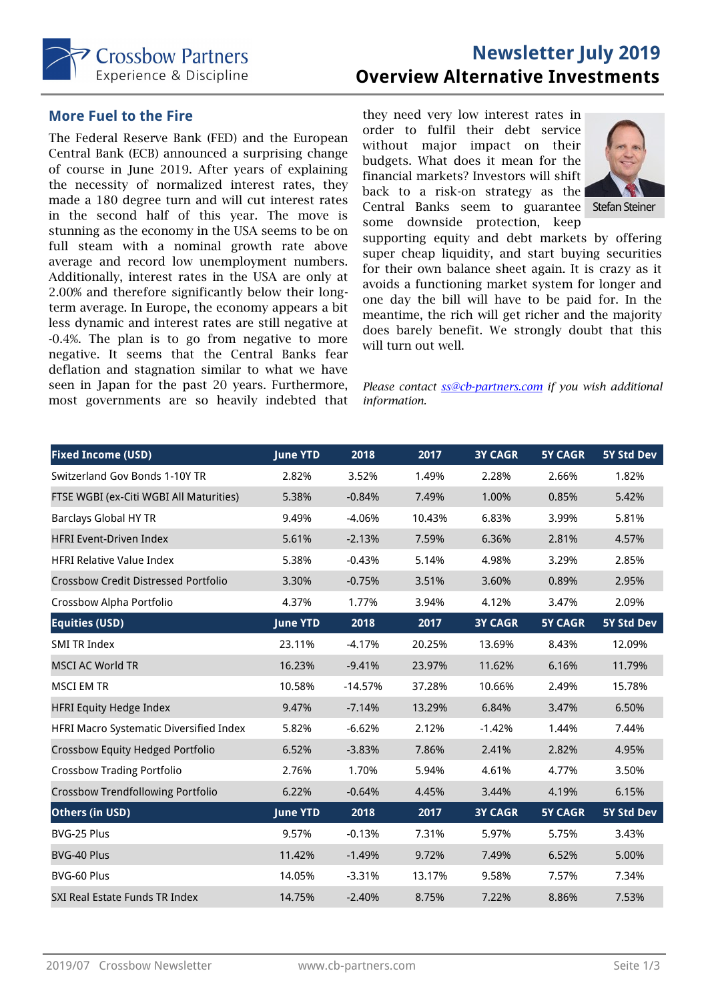

## **Newsletter July 2019 Overview Alternative Investments**

#### **More Fuel to the Fire**

The Federal Reserve Bank (FED) and the European Central Bank (ECB) announced a surprising change of course in June 2019. After years of explaining the necessity of normalized interest rates, they made a 180 degree turn and will cut interest rates in the second half of this year. The move is stunning as the economy in the USA seems to be on full steam with a nominal growth rate above average and record low unemployment numbers. Additionally, interest rates in the USA are only at 2.00% and therefore significantly below their longterm average. In Europe, the economy appears a bit less dynamic and interest rates are still negative at -0.4%. The plan is to go from negative to more negative. It seems that the Central Banks fear deflation and stagnation similar to what we have seen in Japan for the past 20 years. Furthermore, most governments are so heavily indebted that

they need very low interest rates in order to fulfil their debt service without major impact on their budgets. What does it mean for the financial markets? Investors will shift back to a risk-on strategy as the Central Banks seem to guarantee Stefan Steiner some downside protection, keep



supporting equity and debt markets by offering super cheap liquidity, and start buying securities for their own balance sheet again. It is crazy as it avoids a functioning market system for longer and one day the bill will have to be paid for. In the meantime, the rich will get richer and the majority does barely benefit. We strongly doubt that this will turn out well.

*Please contact ss@cb-partners.com if you wish additional information.* 

| <b>Fixed Income (USD)</b>                   | <b>June YTD</b> | 2018      | 2017   | <b>3Y CAGR</b> | <b>5Y CAGR</b> | 5Y Std Dev        |
|---------------------------------------------|-----------------|-----------|--------|----------------|----------------|-------------------|
| Switzerland Gov Bonds 1-10Y TR              | 2.82%           | 3.52%     | 1.49%  | 2.28%          | 2.66%          | 1.82%             |
| FTSE WGBI (ex-Citi WGBI All Maturities)     | 5.38%           | $-0.84%$  | 7.49%  | 1.00%          | 0.85%          | 5.42%             |
| <b>Barclays Global HY TR</b>                | 9.49%           | $-4.06%$  | 10.43% | 6.83%          | 3.99%          | 5.81%             |
| <b>HFRI Event-Driven Index</b>              | 5.61%           | $-2.13%$  | 7.59%  | 6.36%          | 2.81%          | 4.57%             |
| <b>HFRI Relative Value Index</b>            | 5.38%           | $-0.43%$  | 5.14%  | 4.98%          | 3.29%          | 2.85%             |
| <b>Crossbow Credit Distressed Portfolio</b> | 3.30%           | $-0.75%$  | 3.51%  | 3.60%          | 0.89%          | 2.95%             |
| Crossbow Alpha Portfolio                    | 4.37%           | 1.77%     | 3.94%  | 4.12%          | 3.47%          | 2.09%             |
| <b>Equities (USD)</b>                       | <b>June YTD</b> | 2018      | 2017   | <b>3Y CAGR</b> | <b>5Y CAGR</b> | 5Y Std Dev        |
| <b>SMI TR Index</b>                         | 23.11%          | $-4.17%$  | 20.25% | 13.69%         | 8.43%          | 12.09%            |
| <b>MSCI AC World TR</b>                     | 16.23%          | $-9.41%$  | 23.97% | 11.62%         | 6.16%          | 11.79%            |
| <b>MSCI EM TR</b>                           | 10.58%          | $-14.57%$ | 37.28% | 10.66%         | 2.49%          | 15.78%            |
| <b>HFRI Equity Hedge Index</b>              | 9.47%           | $-7.14%$  | 13.29% | 6.84%          | 3.47%          | 6.50%             |
| HFRI Macro Systematic Diversified Index     | 5.82%           | $-6.62%$  | 2.12%  | $-1.42%$       | 1.44%          | 7.44%             |
| Crossbow Equity Hedged Portfolio            | 6.52%           | $-3.83%$  | 7.86%  | 2.41%          | 2.82%          | 4.95%             |
| <b>Crossbow Trading Portfolio</b>           | 2.76%           | 1.70%     | 5.94%  | 4.61%          | 4.77%          | 3.50%             |
| <b>Crossbow Trendfollowing Portfolio</b>    | 6.22%           | $-0.64%$  | 4.45%  | 3.44%          | 4.19%          | 6.15%             |
| <b>Others (in USD)</b>                      | <b>June YTD</b> | 2018      | 2017   | <b>3Y CAGR</b> | <b>5Y CAGR</b> | <b>5Y Std Dev</b> |
| BVG-25 Plus                                 | 9.57%           | $-0.13%$  | 7.31%  | 5.97%          | 5.75%          | 3.43%             |
| BVG-40 Plus                                 | 11.42%          | $-1.49%$  | 9.72%  | 7.49%          | 6.52%          | 5.00%             |
| BVG-60 Plus                                 | 14.05%          | $-3.31%$  | 13.17% | 9.58%          | 7.57%          | 7.34%             |
| SXI Real Estate Funds TR Index              | 14.75%          | $-2.40%$  | 8.75%  | 7.22%          | 8.86%          | 7.53%             |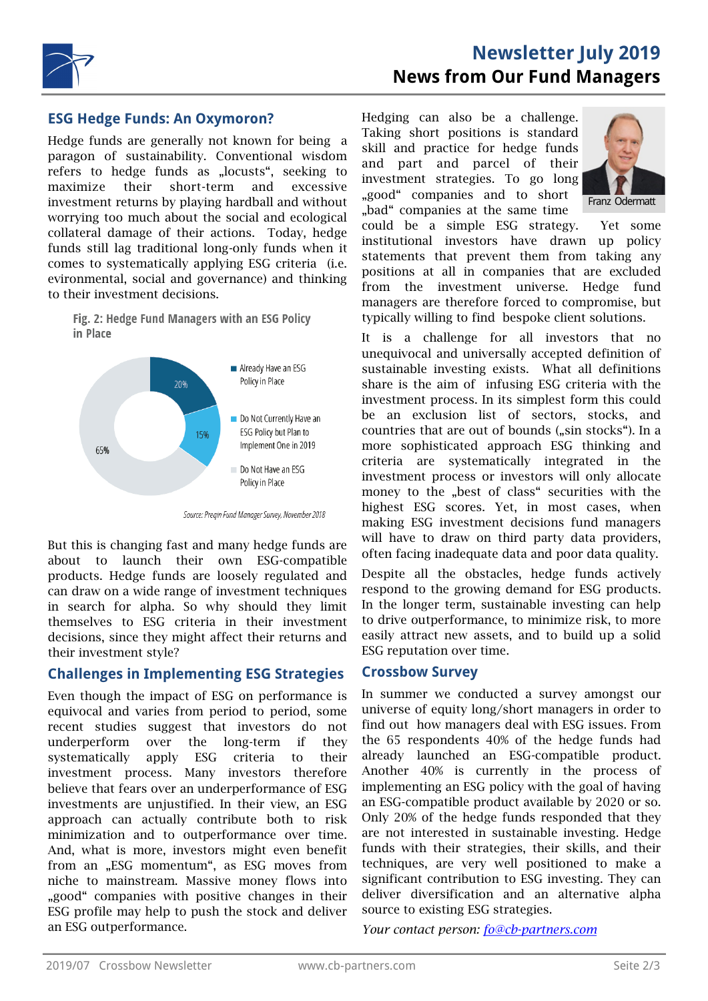

### **ESG Hedge Funds: An Oxymoron?**

Hedge funds are generally not known for being a paragon of sustainability. Conventional wisdom refers to hedge funds as "locusts", seeking to maximize their short-term and excessive investment returns by playing hardball and without worrying too much about the social and ecological collateral damage of their actions. Today, hedge funds still lag traditional long-only funds when it comes to systematically applying ESG criteria (i.e. evironmental, social and governance) and thinking to their investment decisions.

Fig. 2: Hedge Fund Managers with an ESG Policy in Place



Source: Pregin Fund Manager Survey, November 2018

But this is changing fast and many hedge funds are about to launch their own ESG-compatible products. Hedge funds are loosely regulated and can draw on a wide range of investment techniques in search for alpha. So why should they limit themselves to ESG criteria in their investment decisions, since they might affect their returns and their investment style?

## **Challenges in Implementing ESG Strategies**

Even though the impact of ESG on performance is equivocal and varies from period to period, some recent studies suggest that investors do not underperform over the long-term if they systematically apply ESG criteria to their investment process. Many investors therefore believe that fears over an underperformance of ESG investments are unjustified. In their view, an ESG approach can actually contribute both to risk minimization and to outperformance over time. And, what is more, investors might even benefit from an "ESG momentum", as ESG moves from niche to mainstream. Massive money flows into "good" companies with positive changes in their ESG profile may help to push the stock and deliver an ESG outperformance.

# **Newsletter July 2019 News from Our Fund Managers**

Hedging can also be a challenge. Taking short positions is standard skill and practice for hedge funds and part and parcel of their investment strategies. To go long "good" companies and to short "bad" companies at the same time



could be a simple ESG strategy. Yet some institutional investors have drawn up policy statements that prevent them from taking any positions at all in companies that are excluded from the investment universe. Hedge fund managers are therefore forced to compromise, but typically willing to find bespoke client solutions.

It is a challenge for all investors that no unequivocal and universally accepted definition of sustainable investing exists. What all definitions share is the aim of infusing ESG criteria with the investment process. In its simplest form this could be an exclusion list of sectors, stocks, and countries that are out of bounds ("sin stocks"). In a more sophisticated approach ESG thinking and criteria are systematically integrated in the investment process or investors will only allocate money to the "best of class" securities with the highest ESG scores. Yet, in most cases, when making ESG investment decisions fund managers will have to draw on third party data providers, often facing inadequate data and poor data quality.

Despite all the obstacles, hedge funds actively respond to the growing demand for ESG products. In the longer term, sustainable investing can help to drive outperformance, to minimize risk, to more easily attract new assets, and to build up a solid ESG reputation over time.

#### **Crossbow Survey**

In summer we conducted a survey amongst our universe of equity long/short managers in order to find out how managers deal with ESG issues. From the 65 respondents 40% of the hedge funds had already launched an ESG-compatible product. Another 40% is currently in the process of implementing an ESG policy with the goal of having an ESG-compatible product available by 2020 or so. Only 20% of the hedge funds responded that they are not interested in sustainable investing. Hedge funds with their strategies, their skills, and their techniques, are very well positioned to make a significant contribution to ESG investing. They can deliver diversification and an alternative alpha source to existing ESG strategies.

*Your contact person: fo@cb-partners.com*